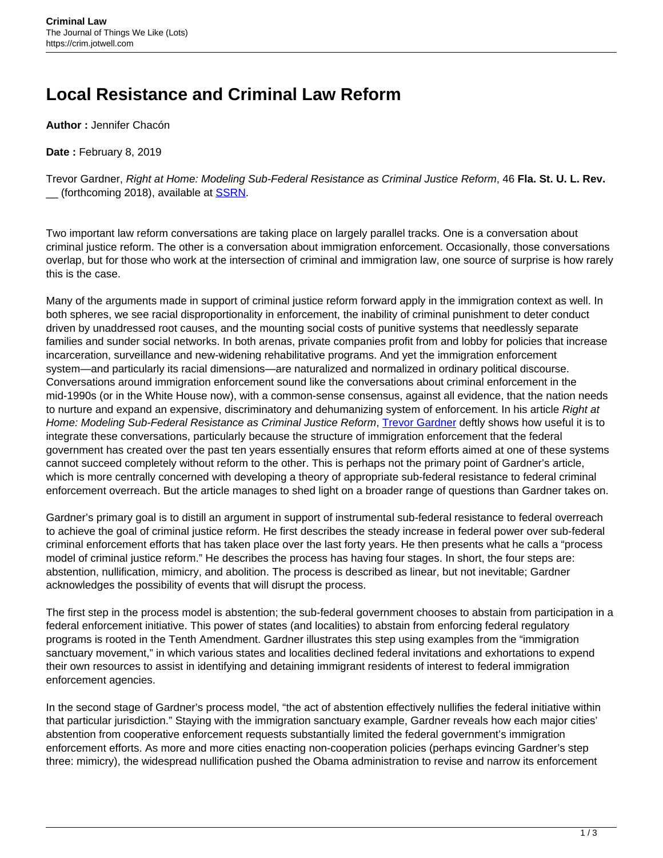## **Local Resistance and Criminal Law Reform**

**Author :** Jennifer Chacón

**Date :** February 8, 2019

Trevor Gardner, Right at Home: Modeling Sub-Federal Resistance as Criminal Justice Reform, 46 **Fla. St. U. L. Rev.** (forthcoming 2018), available at **SSRN**.

Two important law reform conversations are taking place on largely parallel tracks. One is a conversation about criminal justice reform. The other is a conversation about immigration enforcement. Occasionally, those conversations overlap, but for those who work at the intersection of criminal and immigration law, one source of surprise is how rarely this is the case.

Many of the arguments made in support of criminal justice reform forward apply in the immigration context as well. In both spheres, we see racial disproportionality in enforcement, the inability of criminal punishment to deter conduct driven by unaddressed root causes, and the mounting social costs of punitive systems that needlessly separate families and sunder social networks. In both arenas, private companies profit from and lobby for policies that increase incarceration, surveillance and new-widening rehabilitative programs. And yet the immigration enforcement system—and particularly its racial dimensions—are naturalized and normalized in ordinary political discourse. Conversations around immigration enforcement sound like the conversations about criminal enforcement in the mid-1990s (or in the White House now), with a common-sense consensus, against all evidence, that the nation needs to nurture and expand an expensive, discriminatory and dehumanizing system of enforcement. In his article Right at Home: Modeling Sub-Federal Resistance as Criminal Justice Reform, [Trevor Gardner](https://www.law.uw.edu/directory/faculty/gardner-trevor-g) deftly shows how useful it is to integrate these conversations, particularly because the structure of immigration enforcement that the federal government has created over the past ten years essentially ensures that reform efforts aimed at one of these systems cannot succeed completely without reform to the other. This is perhaps not the primary point of Gardner's article, which is more centrally concerned with developing a theory of appropriate sub-federal resistance to federal criminal enforcement overreach. But the article manages to shed light on a broader range of questions than Gardner takes on.

Gardner's primary goal is to distill an argument in support of instrumental sub-federal resistance to federal overreach to achieve the goal of criminal justice reform. He first describes the steady increase in federal power over sub-federal criminal enforcement efforts that has taken place over the last forty years. He then presents what he calls a "process model of criminal justice reform." He describes the process has having four stages. In short, the four steps are: abstention, nullification, mimicry, and abolition. The process is described as linear, but not inevitable; Gardner acknowledges the possibility of events that will disrupt the process.

The first step in the process model is abstention; the sub-federal government chooses to abstain from participation in a federal enforcement initiative. This power of states (and localities) to abstain from enforcing federal regulatory programs is rooted in the Tenth Amendment. Gardner illustrates this step using examples from the "immigration sanctuary movement," in which various states and localities declined federal invitations and exhortations to expend their own resources to assist in identifying and detaining immigrant residents of interest to federal immigration enforcement agencies.

In the second stage of Gardner's process model, "the act of abstention effectively nullifies the federal initiative within that particular jurisdiction." Staying with the immigration sanctuary example, Gardner reveals how each major cities' abstention from cooperative enforcement requests substantially limited the federal government's immigration enforcement efforts. As more and more cities enacting non-cooperation policies (perhaps evincing Gardner's step three: mimicry), the widespread nullification pushed the Obama administration to revise and narrow its enforcement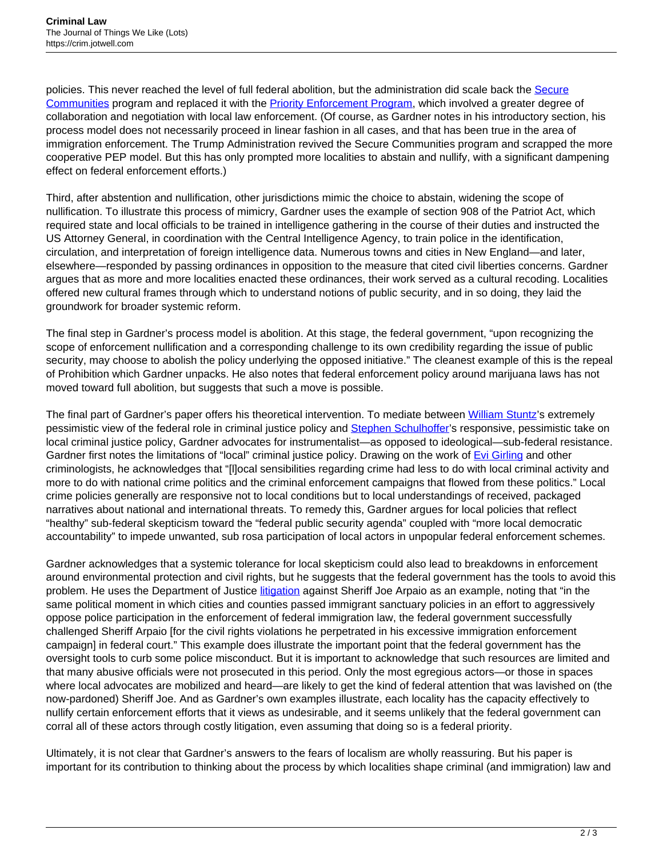policies. This never reached the level of full federal abolition, but the administration did scale back the [Secure](https://www.ice.gov/secure-communities) [Communities](https://www.ice.gov/secure-communities) program and replaced it with the **Priority Enforcement Program**, which involved a greater degree of collaboration and negotiation with local law enforcement. (Of course, as Gardner notes in his introductory section, his process model does not necessarily proceed in linear fashion in all cases, and that has been true in the area of immigration enforcement. The Trump Administration revived the Secure Communities program and scrapped the more cooperative PEP model. But this has only prompted more localities to abstain and nullify, with a significant dampening effect on federal enforcement efforts.)

Third, after abstention and nullification, other jurisdictions mimic the choice to abstain, widening the scope of nullification. To illustrate this process of mimicry, Gardner uses the example of section 908 of the Patriot Act, which required state and local officials to be trained in intelligence gathering in the course of their duties and instructed the US Attorney General, in coordination with the Central Intelligence Agency, to train police in the identification, circulation, and interpretation of foreign intelligence data. Numerous towns and cities in New England—and later, elsewhere—responded by passing ordinances in opposition to the measure that cited civil liberties concerns. Gardner argues that as more and more localities enacted these ordinances, their work served as a cultural recoding. Localities offered new cultural frames through which to understand notions of public security, and in so doing, they laid the groundwork for broader systemic reform.

The final step in Gardner's process model is abolition. At this stage, the federal government, "upon recognizing the scope of enforcement nullification and a corresponding challenge to its own credibility regarding the issue of public security, may choose to abolish the policy underlying the opposed initiative." The cleanest example of this is the repeal of Prohibition which Gardner unpacks. He also notes that federal enforcement policy around marijuana laws has not moved toward full abolition, but suggests that such a move is possible.

The final part of Gardner's paper offers his theoretical intervention. To mediate between [William Stuntz](https://today.law.harvard.edu/william-stuntz-1958-2011/)'s extremely pessimistic view of the federal role in criminal justice policy and [Stephen Schulhoffer'](https://its.law.nyu.edu/facultyprofiles/index.cfm?fuseaction=profile.biography&personid=20270)s responsive, pessimistic take on local criminal justice policy, Gardner advocates for instrumentalist—as opposed to ideological—sub-federal resistance. Gardner first notes the limitations of "local" criminal justice policy. Drawing on the work of [Evi Girling](https://www.keele.ac.uk/sspp/people/staff/evigirling/) and other criminologists, he acknowledges that "[l]ocal sensibilities regarding crime had less to do with local criminal activity and more to do with national crime politics and the criminal enforcement campaigns that flowed from these politics." Local crime policies generally are responsive not to local conditions but to local understandings of received, packaged narratives about national and international threats. To remedy this, Gardner argues for local policies that reflect "healthy" sub-federal skepticism toward the "federal public security agenda" coupled with "more local democratic accountability" to impede unwanted, sub rosa participation of local actors in unpopular federal enforcement schemes.

Gardner acknowledges that a systemic tolerance for local skepticism could also lead to breakdowns in enforcement around environmental protection and civil rights, but he suggests that the federal government has the tools to avoid this problem. He uses the Department of Justice [litigation](https://www.latimes.com/nation/la-na-joe-arpaio-verdict-20170706-story.html) against Sheriff Joe Arpaio as an example, noting that "in the same political moment in which cities and counties passed immigrant sanctuary policies in an effort to aggressively oppose police participation in the enforcement of federal immigration law, the federal government successfully challenged Sheriff Arpaio [for the civil rights violations he perpetrated in his excessive immigration enforcement campaign] in federal court." This example does illustrate the important point that the federal government has the oversight tools to curb some police misconduct. But it is important to acknowledge that such resources are limited and that many abusive officials were not prosecuted in this period. Only the most egregious actors—or those in spaces where local advocates are mobilized and heard—are likely to get the kind of federal attention that was lavished on (the now-pardoned) Sheriff Joe. And as Gardner's own examples illustrate, each locality has the capacity effectively to nullify certain enforcement efforts that it views as undesirable, and it seems unlikely that the federal government can corral all of these actors through costly litigation, even assuming that doing so is a federal priority.

Ultimately, it is not clear that Gardner's answers to the fears of localism are wholly reassuring. But his paper is important for its contribution to thinking about the process by which localities shape criminal (and immigration) law and